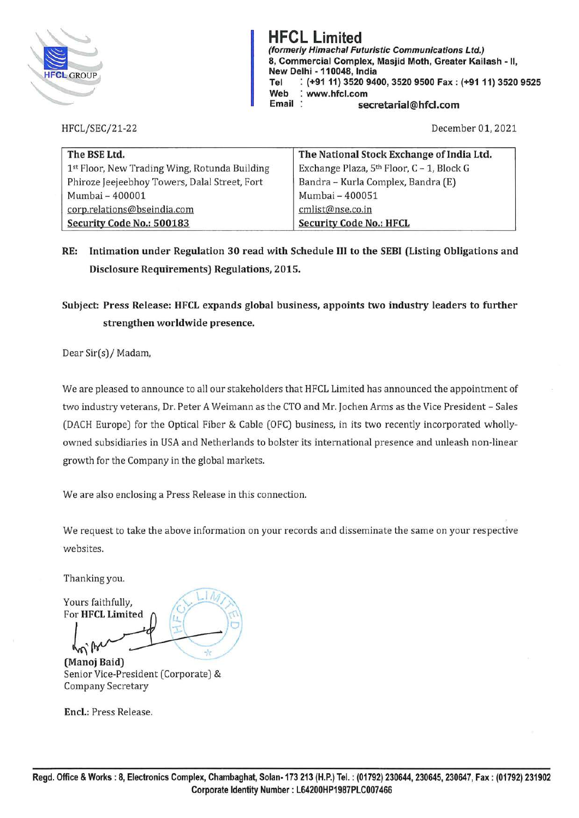

**HFCL Limited (formerly Himachal Futuristic Communications Ltd.) 8, Commercial Complex, Masjid Moth, Greater Kailash** - II, **New Delhi** - **110048, India Tel** : **(+9111) 3520 9400, 3520 9500 Fax: (+9111) 3520 9525 Web** : **www.hfcl.com Email secretarial@hfcl.com** 

HFCL/SEC/21-22

December 01, 2021

| The BSE Ltd.                                  | The National Stock Exchange of India Ltd.             |
|-----------------------------------------------|-------------------------------------------------------|
| 1st Floor, New Trading Wing, Rotunda Building | Exchange Plaza, 5 <sup>th</sup> Floor, C - 1, Block G |
| Phiroze Jeejeebhoy Towers, Dalal Street, Fort | Bandra - Kurla Complex, Bandra (E)                    |
| Mumbai - 400001                               | Mumbai - 400051                                       |
| corp.relations@bseindia.com                   | cmlist@nse.co.in                                      |
| Security Code No.: 500183                     | <b>Security Code No.: HFCL</b>                        |

## **RE: Intimation under Regulation 30 read with Schedule** III **to the SEBI (Listing Obligations and Disclosure Requirements) Regulations, 2015.**

## **Subject: Press Release: HFCL expands global business, appoints two industry leaders to further strengthen worldwide presence.**

Dear Sir(s)/ Madam,

We are pleased to announce to all our stakeholders that HFCL Limited has announced the appointment of two industry veterans, Dr. Peter A Weimann as the CTO and Mr. Jochen Arms as the Vice President - Sales (DACH Europe) for the Optical Fiber & Cable (OFC) business, in its two recently incorporated whollyowned subsidiaries in USA and Netherlands to bolster its international presence and unleash non-linear growth for the Company in the global markets.

We are also enclosing a Press Release in this connection.

We request to take the above information on your records and disseminate the same on your respective websites.

Thanking you.

Yours faithfully, For **HFCL Limited** 

 $w_{\mu}$  $\frac{1}{\sqrt{\frac{1}{x}}}$ 

**(Manoj Baid)**  Senior Vice-President (Corporate) & Company Secretary

**Encl.:** Press Release.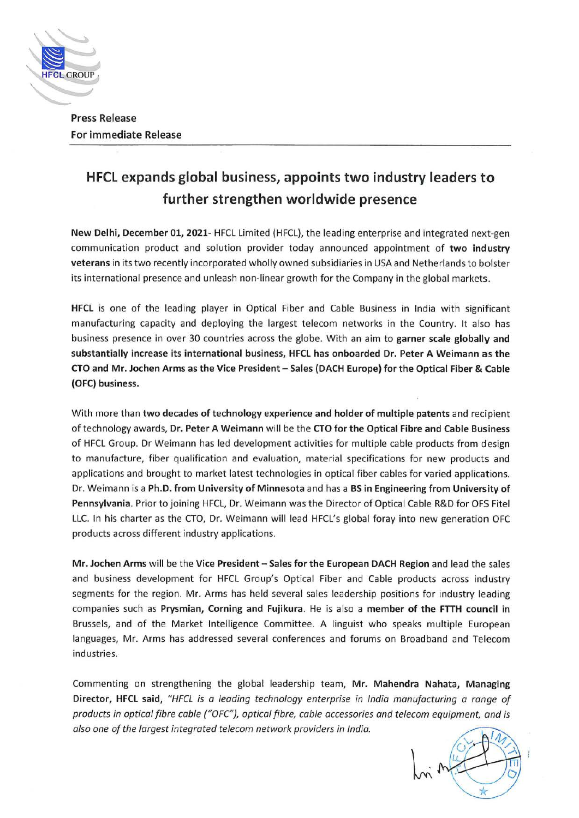

**Press Release For immediate Release** 

## **HFCL expands global business, appoints two industry leaders to further strengthen worldwide presence**

**New Delhi, December 01, 2021-** HFCL Limited (HFCL), the leading enterprise and integrated next-gen communication product and solution provider today announced appointment of **two industry veterans** in its two recently incorporated wholly owned subsidiaries in USA and Netherlands to bolster its international presence and unleash non-linear growth for the Company in the global markets.

**HFCL** is one of the leading player in Optical Fiber and Cable Business in India with significant manufacturing capacity and deploying the largest telecom networks in the Country. It also has business presence in over 30 countries across the globe. With an aim to **garner scale globally and substantially increase its international business, HFCL has onboarded Dr. Peter A Weimann as the CTO and Mr. Jochen Arms as the Vice President** - **Sales (DACH Europe) for the Optical Fiber** & **Cable (OFC) business.** 

With more than **two decades of technology experience and holder of multiple patents** and recipient of technology awards, **Dr. Peter A Weimann** will be the **CTO for the Optical Fibre and Cable Business**  of HFCL Group. Dr Weimann has led development activities for multiple cable products from design to manufacture, fiber qualification and evaluation, material specifications for new products and applications and brought to market latest technologies in optical fiber cables for varied applications. Dr. Weimann is a **Ph.D. from University of Minnesota** and has a **BS in Engineering from University of Pennsylvania.** Prior to joining HFCL, Dr. Weimann was the Director of Optical Cable R&D for OFS Fitel LLC. In his charter as the CTO, Dr. Weimann will lead HFCL's global foray into new generation OFC products across different industry applications.

**Mr. Jochen Arms** will be the **Vice President- Sales for the European DACH Region** and lead the sales and business development for HFCL Group's Optical Fiber and Cable products across industry segments for the region. Mr. Arms has held several sales leadership positions for industry leading companies such as **Prysmian, Corning and Fujikura.** He is also a **member of the FTTH council** in Brussels, and of the Market Intelligence Committee. A linguist who speaks multiple European languages, Mr. Arms has addressed several conferences and forums on Broadband and Telecom industries.

Commenting on strengthening the global leadership team, **Mr. Mahendra Nahata, Managing Director, HFCL said,** *"HFCL is a leading technology enterprise in India manufacturing a range of products in optical fibre cable {"OFC"}, optical fibre, cable accessories and telecom equipment, and is also one of the largest integrated telecom network providers in India.*